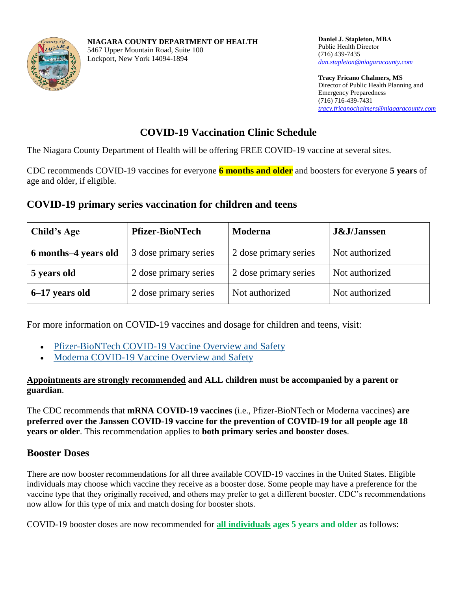

**Tracy Fricano Chalmers, MS** Director of Public Health Planning and Emergency Preparedness (716) 716-439-7431 *[tracy.fricanochalmers@niagaracounty.com](mailto:tracy.fricanochalmers@niagaracounty.com)*

# **COVID-19 Vaccination Clinic Schedule**

The Niagara County Department of Health will be offering FREE COVID-19 vaccine at several sites.

CDC recommends COVID-19 vaccines for everyone **6 months and older** and boosters for everyone **5 years** of age and older, if eligible.

# **COVID-19 primary series vaccination for children and teens**

| <b>Child's Age</b>   | <b>Pfizer-BioNTech</b> | <b>Moderna</b>        | <b>J&amp;J/Janssen</b> |
|----------------------|------------------------|-----------------------|------------------------|
| 6 months–4 years old | 3 dose primary series  | 2 dose primary series | Not authorized         |
| 5 years old          | 2 dose primary series  | 2 dose primary series | Not authorized         |
| 6–17 years old       | 2 dose primary series  | Not authorized        | Not authorized         |

For more information on COVID-19 vaccines and dosage for children and teens, visit:

- [Pfizer-BioNTech COVID-19 Vaccine Overview and Safety](https://www.cdc.gov/coronavirus/2019-ncov/vaccines/different-vaccines/Pfizer-BioNTech.html)
- [Moderna COVID-19 Vaccine Overview and Safety](https://www.cdc.gov/coronavirus/2019-ncov/vaccines/different-vaccines/Moderna.html)

### **Appointments are strongly recommended and ALL children must be accompanied by a parent or guardian**.

The CDC recommends that **mRNA COVID-19 vaccines** (i.e., Pfizer-BioNTech or Moderna vaccines) **are preferred over the Janssen COVID-19 vaccine for the prevention of COVID-19 for all people age 18 years or older**. This recommendation applies to **both primary series and booster doses**.

# **Booster Doses**

There are now booster recommendations for all three available COVID-19 vaccines in the United States. Eligible individuals may choose which vaccine they receive as a booster dose. Some people may have a preference for the vaccine type that they originally received, and others may prefer to get a different booster. CDC's recommendations now allow for this type of mix and match dosing for booster shots.

COVID-19 booster doses are now recommended for **all individuals ages 5 years and older** as follows: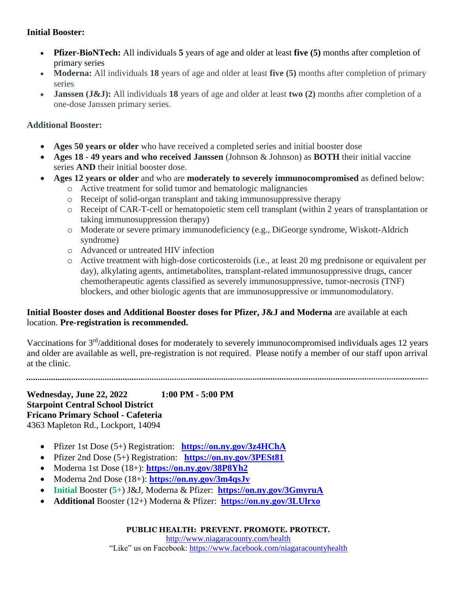### **Initial Booster:**

- **Pfizer-BioNTech:** All individuals **5** years of age and older at least **five (5)** months after completion of primary series
- **Moderna:** All individuals **18** years of age and older at least **five (5)** months after completion of primary series
- **Janssen (J&J):** All individuals **18** years of age and older at least **two (2)** months after completion of a one-dose Janssen primary series.

## **Additional Booster:**

- **Ages 50 years or older** who have received a completed series and initial booster dose
- **Ages 18 - 49 years and who received Janssen** (Johnson & Johnson) as **BOTH** their initial vaccine series **AND** their initial booster dose.
- **Ages 12 years or older** and who are **moderately to severely immunocompromised** as defined below:
	- o Active treatment for solid tumor and hematologic malignancies
	- o Receipt of solid-organ transplant and taking immunosuppressive therapy
	- o Receipt of CAR-T-cell or hematopoietic stem cell transplant (within 2 years of transplantation or taking immunosuppression therapy)
	- o Moderate or severe primary immunodeficiency (e.g., DiGeorge syndrome, Wiskott-Aldrich syndrome)
	- o Advanced or untreated HIV infection
	- o Active treatment with high-dose corticosteroids (i.e., at least 20 mg prednisone or equivalent per day), alkylating agents, antimetabolites, transplant-related immunosuppressive drugs, cancer chemotherapeutic agents classified as severely immunosuppressive, tumor-necrosis (TNF) blockers, and other biologic agents that are immunosuppressive or immunomodulatory.

## **Initial Booster doses and Additional Booster doses for Pfizer, J&J and Moderna** are available at each location. **Pre-registration is recommended.**

Vaccinations for 3rd/additional doses for moderately to severely immunocompromised individuals ages 12 years and older are available as well, pre-registration is not required. Please notify a member of our staff upon arrival at the clinic.

**Wednesday, June 22, 2022 1:00 PM - 5:00 PM Starpoint Central School District Fricano Primary School - Cafeteria** 4363 Mapleton Rd., Lockport, 14094

- Pfizer 1st Dose (5+) Registration: **<https://on.ny.gov/3z4HChA>**
- Pfizer 2nd Dose (5+) Registration: **<https://on.ny.gov/3PESt81>**
- Moderna 1st Dose (18+): **<https://on.ny.gov/38P8Yh2>**
- Moderna 2nd Dose (18+): **<https://on.ny.gov/3m4qsJv>**
- **Initial** Booster (**5+**) J&J, Moderna & Pfizer: **<https://on.ny.gov/3GmyruA>**
- **Additional** Booster (12+) Moderna & Pfizer: **<https://on.ny.gov/3LUlrxo>**

**PUBLIC HEALTH: PREVENT. PROMOTE. PROTECT.**

[http://www.niagaracounty.com/health](http://www.niagaracounty.com/health/Home.aspx)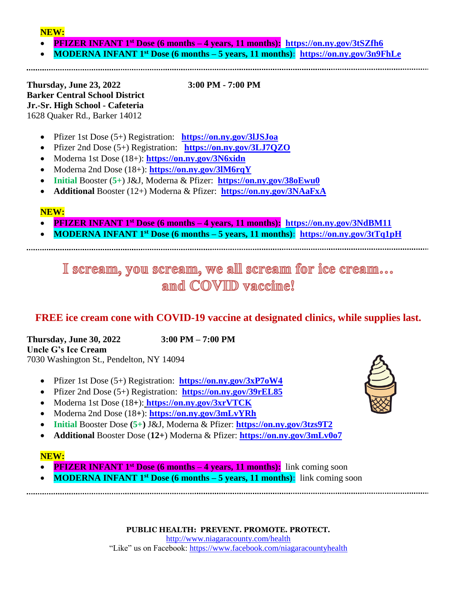### **NEW:**

- **PFIZER INFANT 1 st Dose (6 months – 4 years, 11 months): <https://on.ny.gov/3tSZfh6>**
- **MODERNA INFANT 1 st Dose (6 months – 5 years, 11 months): <https://on.ny.gov/3n9FhLe>**

**Thursday, June 23, 2022 3:00 PM - 7:00 PM Barker Central School District Jr.-Sr. High School - Cafeteria** 1628 Quaker Rd., Barker 14012

Pfizer 1st Dose (5+) Registration: **<https://on.ny.gov/3lJSJoa>**

- Pfizer 2nd Dose (5+) Registration: **<https://on.ny.gov/3LJ7QZO>**
- Moderna 1st Dose (18+): **<https://on.ny.gov/3N6xidn>**
- Moderna 2nd Dose (18+): **<https://on.ny.gov/3lM6rqY>**
- **Initial** Booster (**5+**) J&J, Moderna & Pfizer: **<https://on.ny.gov/38oEwu0>**
- **Additional** Booster (12+) Moderna & Pfizer: **<https://on.ny.gov/3NAaFxA>**

### **NEW:**

- **PFIZER INFANT 1 st Dose (6 months – 4 years, 11 months): <https://on.ny.gov/3NdBM11>**
- **MODERNA INFANT 1<sup>st</sup> Dose (6 months 5 years, 11 months):** <https://on.ny.gov/3tTq1pH>

# I scream, you scream, we all scream for ice cream... and COVID vaccime!

# **FREE ice cream cone with COVID-19 vaccine at designated clinics, while supplies last.**

**Thursday, June 30, 2022 3:00 PM – 7:00 PM Uncle G's Ice Cream** 7030 Washington St., Pendelton, NY 14094

- Pfizer 1st Dose (5+) Registration: **<https://on.ny.gov/3xP7oW4>**
- Pfizer 2nd Dose (5+) Registration: **<https://on.ny.gov/39rEL85>**
- Moderna 1st Dose (18**+**): **<https://on.ny.gov/3xrVTCK>**
- Moderna 2nd Dose (18**+**): **<https://on.ny.gov/3mLvYRh>**
- **Initial** Booster Dose **(5+)** J&J, Moderna & Pfizer: **<https://on.ny.gov/3tzs9T2>**
- **Additional** Booster Dose (**12+**) Moderna & Pfizer: **<https://on.ny.gov/3mLv0o7>**

### **NEW:**

- **PFIZER INFANT 1<sup>st</sup> Dose (6 months 4 years, 11 months):** link coming soon
- **MODERNA INFANT 1<sup>st</sup> Dose (6 months 5 years, 11 months):** link coming soon

**PUBLIC HEALTH: PREVENT. PROMOTE. PROTECT.**

[http://www.niagaracounty.com/health](http://www.niagaracounty.com/health/Home.aspx)

"Like" us on Facebook: <https://www.facebook.com/niagaracountyhealth>

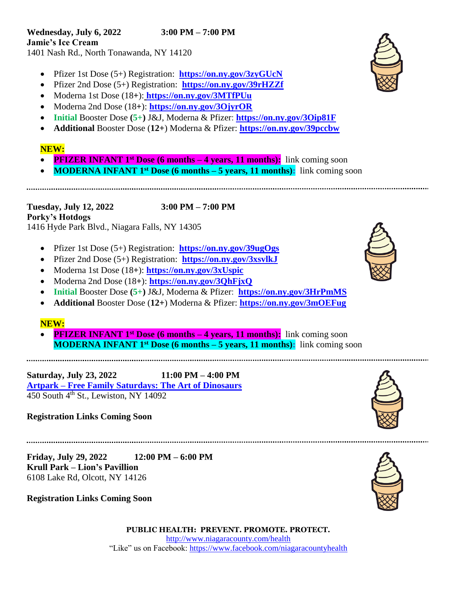- Pfizer 1st Dose (5+) Registration: **<https://on.ny.gov/3zyGUcN>**
- Pfizer 2nd Dose (5+) Registration: **<https://on.ny.gov/39rHZZf>**
- Moderna 1st Dose (18**+**): **<https://on.ny.gov/3MTfPUu>**
- Moderna 2nd Dose (18**+**): **<https://on.ny.gov/3OjyrOR>**
- **Initial** Booster Dose **(5+)** J&J, Moderna & Pfizer: **<https://on.ny.gov/3Oip81F>**
- **Additional** Booster Dose (**12+**) Moderna & Pfizer: **<https://on.ny.gov/39pccbw>**

## **NEW:**

 $\ddot{\phantom{0}}$ 

- **PFIZER INFANT 1<sup>st</sup> Dose (6 months 4 years, 11 months):** link coming soon
- **MODERNA INFANT 1<sup>st</sup> Dose (6 months 5 years, 11 months):** link coming soon

,一个人都是一个人的事情。<br>第二十一章 一个人的事情,我们的人都是一个人的人,我们的人都是一个人的人,我们的人都是一个人的人,我们的人都是一个人的人,我们的人都是一个人的人,我们的人都是一

**Tuesday, July 12, 2022 3:00 PM – 7:00 PM Porky's Hotdogs** 1416 Hyde Park Blvd., Niagara Falls, NY 14305

- Pfizer 1st Dose (5+) Registration: **<https://on.ny.gov/39ugOgs>**
- Pfizer 2nd Dose (5+) Registration: **<https://on.ny.gov/3xsvlkJ>**
- Moderna 1st Dose (18**+**): **<https://on.ny.gov/3xUspic>**
- Moderna 2nd Dose (18**+**): **<https://on.ny.gov/3QhFjxQ>**
- **Initial** Booster Dose **(5+)** J&J, Moderna & Pfizer: **<https://on.ny.gov/3HrPmMS>**
- **Additional** Booster Dose (**12+**) Moderna & Pfizer: **<https://on.ny.gov/3mOEFug>**

### **NEW:**

**PFIZER INFANT 1<sup>st</sup> Dose (6 months – 4 years, 11 months):** link coming soon **MODERNA INFANT 1<sup>st</sup> Dose (6 months – 5 years, 11 months):** link coming soon

**Saturday, July 23, 2022 11:00 PM – 4:00 PM Artpark – [Free Family Saturdays: The Art of Dinosaurs](https://www.artpark.net/events/free-family-saturdays-the-art-of-dinosaurs)**  $\frac{1}{450}$  South  $4^{\text{th}}$  St., Lewiston, NY 14092

## **Registration Links Coming Soon**

**Friday, July 29, 2022 12:00 PM – 6:00 PM Krull Park – Lion's Pavillion** 6108 Lake Rd, Olcott, NY 14126

**Registration Links Coming Soon**